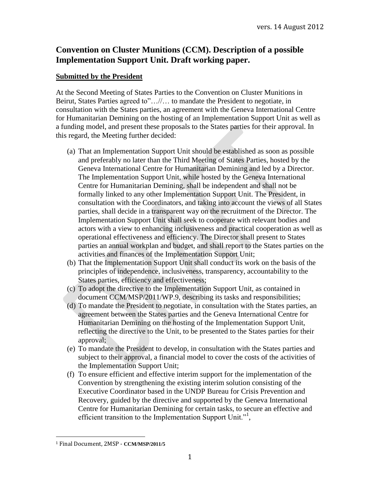# **Convention on Cluster Munitions (CCM). Description of a possible Implementation Support Unit. Draft working paper.**

### **Submitted by the President**

At the Second Meeting of States Parties to the Convention on Cluster Munitions in Beirut, States Parties agreed to"…//… to mandate the President to negotiate, in consultation with the States parties, an agreement with the Geneva International Centre for Humanitarian Demining on the hosting of an Implementation Support Unit as well as a funding model, and present these proposals to the States parties for their approval. In this regard, the Meeting further decided:

- (a) That an Implementation Support Unit should be established as soon as possible and preferably no later than the Third Meeting of States Parties, hosted by the Geneva International Centre for Humanitarian Demining and led by a Director. The Implementation Support Unit, while hosted by the Geneva International Centre for Humanitarian Demining, shall be independent and shall not be formally linked to any other Implementation Support Unit. The President, in consultation with the Coordinators, and taking into account the views of all States parties, shall decide in a transparent way on the recruitment of the Director. The Implementation Support Unit shall seek to cooperate with relevant bodies and actors with a view to enhancing inclusiveness and practical cooperation as well as operational effectiveness and efficiency. The Director shall present to States parties an annual workplan and budget, and shall report to the States parties on the activities and finances of the Implementation Support Unit;
- (b) That the Implementation Support Unit shall conduct its work on the basis of the principles of independence, inclusiveness, transparency, accountability to the States parties, efficiency and effectiveness;
- (c) To adopt the directive to the Implementation Support Unit, as contained in document CCM/MSP/2011/WP.9, describing its tasks and responsibilities;
- (d) To mandate the President to negotiate, in consultation with the States parties, an agreement between the States parties and the Geneva International Centre for Humanitarian Demining on the hosting of the Implementation Support Unit, reflecting the directive to the Unit, to be presented to the States parties for their approval;
- (e) To mandate the President to develop, in consultation with the States parties and subject to their approval, a financial model to cover the costs of the activities of the Implementation Support Unit;
- (f) To ensure efficient and effective interim support for the implementation of the Convention by strengthening the existing interim solution consisting of the Executive Coordinator based in the UNDP Bureau for Crisis Prevention and Recovery, guided by the directive and supported by the Geneva International Centre for Humanitarian Demining for certain tasks, to secure an effective and efficient transition to the Implementation Support Unit."<sup>1</sup>,

l

<sup>1</sup> Final Document, 2MSP - **CCM/MSP/2011/5**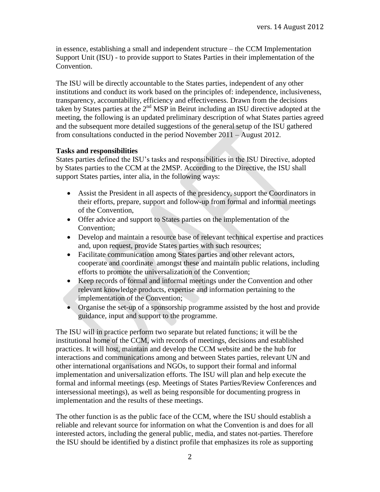in essence, establishing a small and independent structure – the CCM Implementation Support Unit (ISU) - to provide support to States Parties in their implementation of the Convention.

The ISU will be directly accountable to the States parties, independent of any other institutions and conduct its work based on the principles of: independence, inclusiveness, transparency, accountability, efficiency and effectiveness. Drawn from the decisions taken by States parties at the 2nd MSP in Beirut including an ISU directive adopted at the meeting, the following is an updated preliminary description of what States parties agreed and the subsequent more detailed suggestions of the general setup of the ISU gathered from consultations conducted in the period November 2011 – August 2012.

### **Tasks and responsibilities**

States parties defined the ISU's tasks and responsibilities in the ISU Directive, adopted by States parties to the CCM at the 2MSP. According to the Directive, the ISU shall support States parties, inter alia, in the following ways:

- Assist the President in all aspects of the presidency, support the Coordinators in their efforts, prepare, support and follow-up from formal and informal meetings of the Convention,
- Offer advice and support to States parties on the implementation of the Convention;
- Develop and maintain a resource base of relevant technical expertise and practices and, upon request, provide States parties with such resources;
- Facilitate communication among States parties and other relevant actors, cooperate and coordinate amongst these and maintain public relations, including efforts to promote the universalization of the Convention;
- Keep records of formal and informal meetings under the Convention and other relevant knowledge products, expertise and information pertaining to the implementation of the Convention;
- Organise the set-up of a sponsorship programme assisted by the host and provide guidance, input and support to the programme.

The ISU will in practice perform two separate but related functions; it will be the institutional home of the CCM, with records of meetings, decisions and established practices. It will host, maintain and develop the CCM website and be the hub for interactions and communications among and between States parties, relevant UN and other international organisations and NGOs, to support their formal and informal implementation and universalization efforts. The ISU will plan and help execute the formal and informal meetings (esp. Meetings of States Parties/Review Conferences and intersessional meetings), as well as being responsible for documenting progress in implementation and the results of these meetings.

The other function is as the public face of the CCM, where the ISU should establish a reliable and relevant source for information on what the Convention is and does for all interested actors, including the general public, media, and states not-parties. Therefore the ISU should be identified by a distinct profile that emphasizes its role as supporting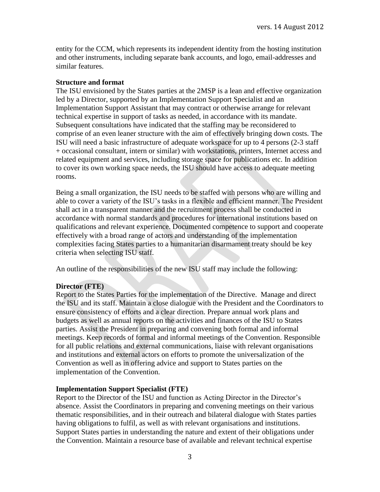entity for the CCM, which represents its independent identity from the hosting institution and other instruments, including separate bank accounts, and logo, email-addresses and similar features.

#### **Structure and format**

The ISU envisioned by the States parties at the 2MSP is a lean and effective organization led by a Director, supported by an Implementation Support Specialist and an Implementation Support Assistant that may contract or otherwise arrange for relevant technical expertise in support of tasks as needed, in accordance with its mandate. Subsequent consultations have indicated that the staffing may be reconsidered to comprise of an even leaner structure with the aim of effectively bringing down costs. The ISU will need a basic infrastructure of adequate workspace for up to 4 persons (2-3 staff + occasional consultant, intern or similar) with workstations, printers, Internet access and related equipment and services, including storage space for publications etc. In addition to cover its own working space needs, the ISU should have access to adequate meeting rooms.

Being a small organization, the ISU needs to be staffed with persons who are willing and able to cover a variety of the ISU's tasks in a flexible and efficient manner. The President shall act in a transparent manner and the recruitment process shall be conducted in accordance with normal standards and procedures for international institutions based on qualifications and relevant experience. Documented competence to support and cooperate effectively with a broad range of actors and understanding of the implementation complexities facing States parties to a humanitarian disarmament treaty should be key criteria when selecting ISU staff.

An outline of the responsibilities of the new ISU staff may include the following:

#### **Director (FTE)**

Report to the States Parties for the implementation of the Directive. Manage and direct the ISU and its staff. Maintain a close dialogue with the President and the Coordinators to ensure consistency of efforts and a clear direction. Prepare annual work plans and budgets as well as annual reports on the activities and finances of the ISU to States parties. Assist the President in preparing and convening both formal and informal meetings. Keep records of formal and informal meetings of the Convention. Responsible for all public relations and external communications, liaise with relevant organisations and institutions and external actors on efforts to promote the universalization of the Convention as well as in offering advice and support to States parties on the implementation of the Convention.

#### **Implementation Support Specialist (FTE)**

Report to the Director of the ISU and function as Acting Director in the Director's absence. Assist the Coordinators in preparing and convening meetings on their various thematic responsibilities, and in their outreach and bilateral dialogue with States parties having obligations to fulfil, as well as with relevant organisations and institutions. Support States parties in understanding the nature and extent of their obligations under the Convention. Maintain a resource base of available and relevant technical expertise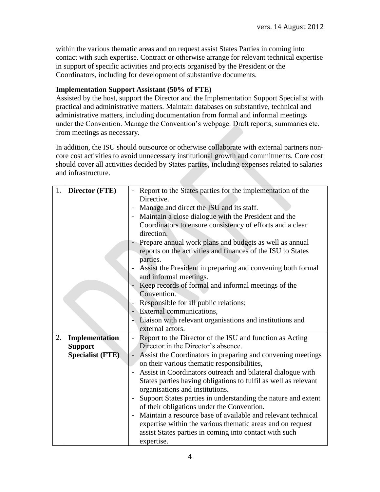within the various thematic areas and on request assist States Parties in coming into contact with such expertise. Contract or otherwise arrange for relevant technical expertise in support of specific activities and projects organised by the President or the Coordinators, including for development of substantive documents.

### **Implementation Support Assistant (50% of FTE)**

Assisted by the host, support the Director and the Implementation Support Specialist with practical and administrative matters. Maintain databases on substantive, technical and administrative matters, including documentation from formal and informal meetings under the Convention. Manage the Convention's webpage. Draft reports, summaries etc. from meetings as necessary.

In addition, the ISU should outsource or otherwise collaborate with external partners noncore cost activities to avoid unnecessary institutional growth and commitments. Core cost should cover all activities decided by States parties, including expenses related to salaries and infrastructure.

| 1. | <b>Director (FTE)</b>   | Report to the States parties for the implementation of the                              |  |
|----|-------------------------|-----------------------------------------------------------------------------------------|--|
|    |                         | Directive.                                                                              |  |
|    |                         | Manage and direct the ISU and its staff.<br>$\blacksquare$                              |  |
|    |                         | Maintain a close dialogue with the President and the                                    |  |
|    |                         | Coordinators to ensure consistency of efforts and a clear                               |  |
|    |                         | direction.                                                                              |  |
|    |                         | - Prepare annual work plans and budgets as well as annual                               |  |
|    |                         | reports on the activities and finances of the ISU to States                             |  |
|    |                         | parties.                                                                                |  |
|    |                         | Assist the President in preparing and convening both formal<br>$\overline{\phantom{0}}$ |  |
|    |                         | and informal meetings.                                                                  |  |
|    |                         | Keep records of formal and informal meetings of the                                     |  |
|    |                         | Convention.                                                                             |  |
|    |                         | Responsible for all public relations;<br>$\overline{\phantom{a}}$                       |  |
|    |                         | - External communications,                                                              |  |
|    |                         | Liaison with relevant organisations and institutions and                                |  |
|    |                         | external actors.                                                                        |  |
| 2. | Implementation          | Report to the Director of the ISU and function as Acting<br>$\blacksquare$              |  |
|    | <b>Support</b>          | Director in the Director's absence.                                                     |  |
|    | <b>Specialist (FTE)</b> | Assist the Coordinators in preparing and convening meetings<br>$\overline{\phantom{a}}$ |  |
|    |                         | on their various thematic responsibilities,                                             |  |
|    |                         | Assist in Coordinators outreach and bilateral dialogue with                             |  |
|    |                         | States parties having obligations to fulfil as well as relevant                         |  |
|    |                         | organisations and institutions.                                                         |  |
|    |                         | Support States parties in understanding the nature and extent                           |  |
|    |                         | of their obligations under the Convention.                                              |  |
|    |                         | Maintain a resource base of available and relevant technical                            |  |
|    |                         | expertise within the various thematic areas and on request                              |  |
|    |                         | assist States parties in coming into contact with such                                  |  |
|    |                         | expertise.                                                                              |  |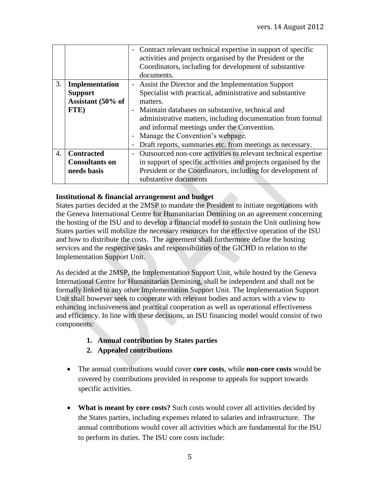|                  |                       | - Contract relevant technical expertise in support of specific  |  |
|------------------|-----------------------|-----------------------------------------------------------------|--|
|                  |                       | activities and projects organised by the President or the       |  |
|                  |                       | Coordinators, including for development of substantive          |  |
|                  |                       | documents.                                                      |  |
| 3.               | Implementation        | - Assist the Director and the Implementation Support            |  |
|                  | <b>Support</b>        | Specialist with practical, administrative and substantive       |  |
|                  | Assistant (50% of     | matters.                                                        |  |
|                  | FTE)                  | - Maintain databases on substantive, technical and              |  |
|                  |                       | administrative matters, including documentation from formal     |  |
|                  |                       | and informal meetings under the Convention.                     |  |
|                  |                       | Manage the Convention's webpage.                                |  |
|                  |                       | Draft reports, summaries etc. from meetings as necessary.       |  |
| $\overline{4}$ . | <b>Contracted</b>     | Outsourced non-core activities to relevant technical expertise  |  |
|                  | <b>Consultants on</b> | in support of specific activities and projects organised by the |  |
|                  | needs basis           | President or the Coordinators, including for development of     |  |
|                  |                       | substantive documents                                           |  |

### **Institutional & financial arrangement and budget**

States parties decided at the 2MSP to mandate the President to initiate negotiations with the Geneva International Centre for Humanitarian Demining on an agreement concerning the hosting of the ISU and to develop a financial model to sustain the Unit outlining how States parties will mobilize the necessary resources for the effective operation of the ISU and how to distribute the costs. The agreement shall furthermore define the hosting services and the respective tasks and responsibilities of the GICHD in relation to the Implementation Support Unit.

As decided at the 2MSP, the Implementation Support Unit, while hosted by the Geneva International Centre for Humanitarian Demining, shall be independent and shall not be formally linked to any other Implementation Support Unit. The Implementation Support Unit shall however seek to cooperate with relevant bodies and actors with a view to enhancing inclusiveness and practical cooperation as well as operational effectiveness and efficiency. In line with these decisions, an ISU financing model would consist of two components:

# **1. Annual contribution by States parties**

# **2. Appealed contributions**

- The annual contributions would cover **core costs**, while **non-core costs** would be covered by contributions provided in response to appeals for support towards specific activities.
- What is meant by core costs? Such costs would cover all activities decided by the States parties, including expenses related to salaries and infrastructure. The annual contributions would cover all activities which are fundamental for the ISU to perform its duties. The ISU core costs include: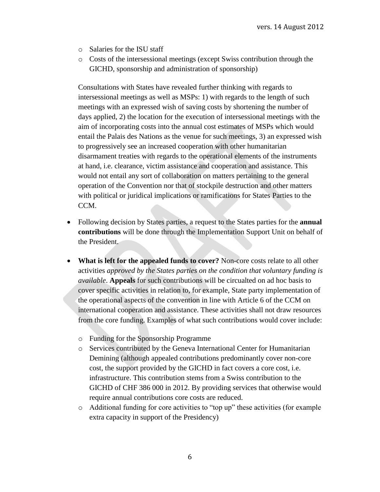- o Salaries for the ISU staff
- o Costs of the intersessional meetings (except Swiss contribution through the GICHD, sponsorship and administration of sponsorship)

Consultations with States have revealed further thinking with regards to intersessional meetings as well as MSPs: 1) with regards to the length of such meetings with an expressed wish of saving costs by shortening the number of days applied, 2) the location for the execution of intersessional meetings with the aim of incorporating costs into the annual cost estimates of MSPs which would entail the Palais des Nations as the venue for such meetings, 3) an expressed wish to progressively see an increased cooperation with other humanitarian disarmament treaties with regards to the operational elements of the instruments at hand, i.e. clearance, victim assistance and cooperation and assistance. This would not entail any sort of collaboration on matters pertaining to the general operation of the Convention nor that of stockpile destruction and other matters with political or juridical implications or ramifications for States Parties to the CCM.

- Following decision by States parties, a request to the States parties for the **annual contributions** will be done through the Implementation Support Unit on behalf of the President.
- **What is left for the appealed funds to cover?** Non-core costs relate to all other activities *approved by the States parties on the condition that voluntary funding is available*. **Appeals** for such contributions will be circualted on ad hoc basis to cover specific activities in relation to, for example, State party implementation of the operational aspects of the convention in line with Article 6 of the CCM on international cooperation and assistance. These activities shall not draw resources from the core funding. Examples of what such contributions would cover include:
	- o Funding for the Sponsorship Programme
	- o Services contributed by the Geneva International Center for Humanitarian Demining (although appealed contributions predominantly cover non-core cost, the support provided by the GICHD in fact covers a core cost, i.e. infrastructure. This contribution stems from a Swiss contribution to the GICHD of CHF 386 000 in 2012. By providing services that otherwise would require annual contributions core costs are reduced.
	- o Additional funding for core activities to "top up" these activities (for example extra capacity in support of the Presidency)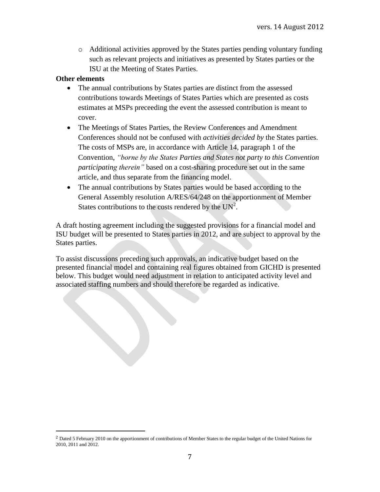o Additional activities approved by the States parties pending voluntary funding such as relevant projects and initiatives as presented by States parties or the ISU at the Meeting of States Parties.

#### **Other elements**

 $\overline{a}$ 

- The annual contributions by States parties are distinct from the assessed contributions towards Meetings of States Parties which are presented as costs estimates at MSPs preceeding the event the assessed contribution is meant to cover.
- The Meetings of States Parties, the Review Conferences and Amendment Conferences should not be confused with *activities decided by* the States parties. The costs of MSPs are, in accordance with Article 14, paragraph 1 of the Convention, *"borne by the States Parties and States not party to this Convention participating therein"* based on a cost-sharing procedure set out in the same article, and thus separate from the financing model.
- The annual contributions by States parties would be based according to the General Assembly resolution A/RES/64/248 on the apportionment of Member States contributions to the costs rendered by the  $UN^2$ .

A draft hosting agreement including the suggested provisions for a financial model and ISU budget will be presented to States parties in 2012, and are subject to approval by the States parties.

To assist discussions preceding such approvals, an indicative budget based on the presented financial model and containing real figures obtained from GICHD is presented below. This budget would need adjustment in relation to anticipated activity level and associated staffing numbers and should therefore be regarded as indicative.

<sup>2</sup> Dated 5 February 2010 on the apportionment of contributions of Member States to the regular budget of the United Nations for 2010, 2011 and 2012.